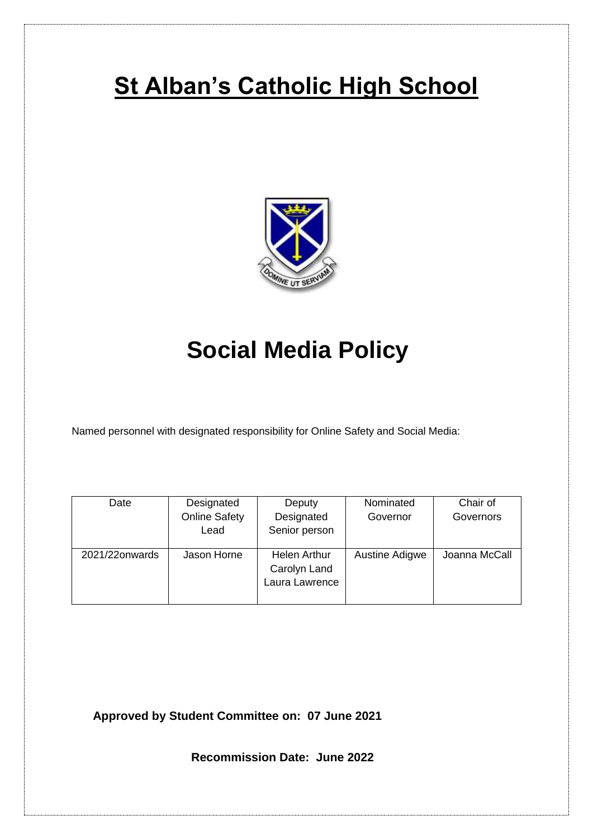# **St Alban's Catholic High School**



# **Social Media Policy**

Named personnel with designated responsibility for Online Safety and Social Media:

| Date           | Designated           | Deputy                                                | Nominated      | Chair of      |
|----------------|----------------------|-------------------------------------------------------|----------------|---------------|
|                | <b>Online Safety</b> | Designated                                            | Governor       | Governors     |
|                | Lead                 | Senior person                                         |                |               |
| 2021/22onwards | Jason Horne          | <b>Helen Arthur</b><br>Carolyn Land<br>Laura Lawrence | Austine Adigwe | Joanna McCall |

**Approved by Student Committee on: 07 June 2021**

 **Recommission Date: June 2022**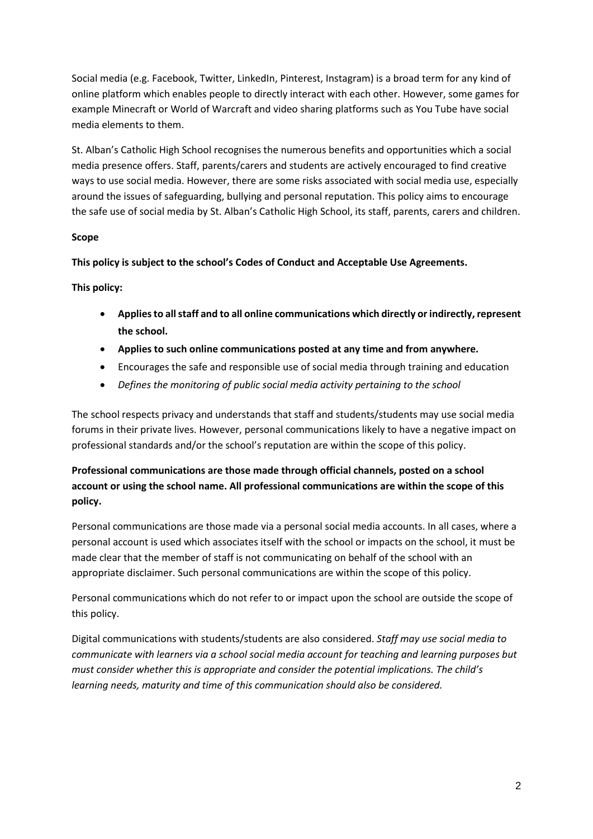Social media (e.g. Facebook, Twitter, LinkedIn, Pinterest, Instagram) is a broad term for any kind of online platform which enables people to directly interact with each other. However, some games for example Minecraft or World of Warcraft and video sharing platforms such as You Tube have social media elements to them.

St. Alban's Catholic High School recognises the numerous benefits and opportunities which a social media presence offers. Staff, parents/carers and students are actively encouraged to find creative ways to use social media. However, there are some risks associated with social media use, especially around the issues of safeguarding, bullying and personal reputation. This policy aims to encourage the safe use of social media by St. Alban's Catholic High School, its staff, parents, carers and children.

# **Scope**

**This policy is subject to the school's Codes of Conduct and Acceptable Use Agreements.**

**This policy:**

- **Applies to all staff and to all online communications which directly or indirectly, represent the school.**
- **Applies to such online communications posted at any time and from anywhere.**
- Encourages the safe and responsible use of social media through training and education
- *Defines the monitoring of public social media activity pertaining to the school*

The school respects privacy and understands that staff and students/students may use social media forums in their private lives. However, personal communications likely to have a negative impact on professional standards and/or the school's reputation are within the scope of this policy.

**Professional communications are those made through official channels, posted on a school account or using the school name. All professional communications are within the scope of this policy.**

Personal communications are those made via a personal social media accounts. In all cases, where a personal account is used which associates itself with the school or impacts on the school, it must be made clear that the member of staff is not communicating on behalf of the school with an appropriate disclaimer. Such personal communications are within the scope of this policy.

Personal communications which do not refer to or impact upon the school are outside the scope of this policy.

Digital communications with students/students are also considered. *Staff may use social media to communicate with learners via a school social media account for teaching and learning purposes but must consider whether this is appropriate and consider the potential implications. The child's learning needs, maturity and time of this communication should also be considered.*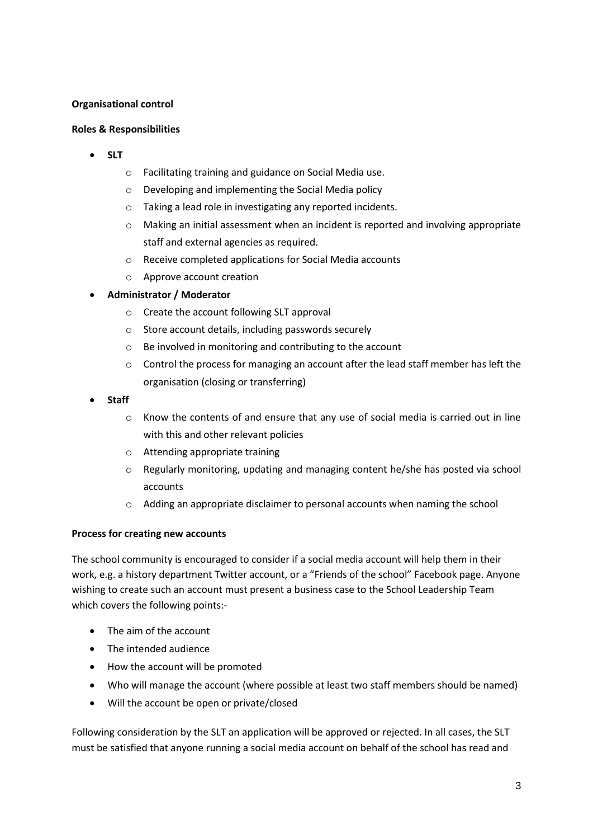### **Organisational control**

#### **Roles & Responsibilities**

- **SLT**
	- o Facilitating training and guidance on Social Media use.
	- o Developing and implementing the Social Media policy
	- o Taking a lead role in investigating any reported incidents.
	- o Making an initial assessment when an incident is reported and involving appropriate staff and external agencies as required.
	- o Receive completed applications for Social Media accounts
	- o Approve account creation

#### **Administrator / Moderator**

- o Create the account following SLT approval
- o Store account details, including passwords securely
- o Be involved in monitoring and contributing to the account
- o Control the process for managing an account after the lead staff member has left the organisation (closing or transferring)
- **Staff**
	- $\circ$  Know the contents of and ensure that any use of social media is carried out in line with this and other relevant policies
	- o Attending appropriate training
	- $\circ$  Regularly monitoring, updating and managing content he/she has posted via school accounts
	- o Adding an appropriate disclaimer to personal accounts when naming the school

#### **Process for creating new accounts**

The school community is encouraged to consider if a social media account will help them in their work, e.g. a history department Twitter account, or a "Friends of the school" Facebook page. Anyone wishing to create such an account must present a business case to the School Leadership Team which covers the following points:-

- The aim of the account
- The intended audience
- How the account will be promoted
- Who will manage the account (where possible at least two staff members should be named)
- Will the account be open or private/closed

Following consideration by the SLT an application will be approved or rejected. In all cases, the SLT must be satisfied that anyone running a social media account on behalf of the school has read and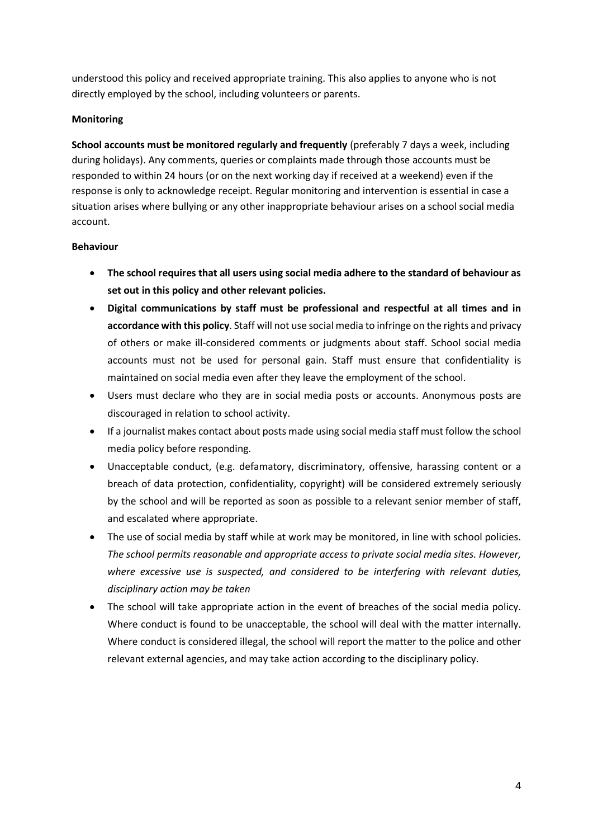understood this policy and received appropriate training. This also applies to anyone who is not directly employed by the school, including volunteers or parents.

# **Monitoring**

**School accounts must be monitored regularly and frequently** (preferably 7 days a week, including during holidays). Any comments, queries or complaints made through those accounts must be responded to within 24 hours (or on the next working day if received at a weekend) even if the response is only to acknowledge receipt. Regular monitoring and intervention is essential in case a situation arises where bullying or any other inappropriate behaviour arises on a school social media account.

# **Behaviour**

- **The school requires that all users using social media adhere to the standard of behaviour as set out in this policy and other relevant policies.**
- **Digital communications by staff must be professional and respectful at all times and in accordance with this policy**. Staff will not use social media to infringe on the rights and privacy of others or make ill-considered comments or judgments about staff. School social media accounts must not be used for personal gain. Staff must ensure that confidentiality is maintained on social media even after they leave the employment of the school.
- Users must declare who they are in social media posts or accounts. Anonymous posts are discouraged in relation to school activity.
- If a journalist makes contact about posts made using social media staff must follow the school media policy before responding.
- Unacceptable conduct, (e.g. defamatory, discriminatory, offensive, harassing content or a breach of data protection, confidentiality, copyright) will be considered extremely seriously by the school and will be reported as soon as possible to a relevant senior member of staff, and escalated where appropriate.
- The use of social media by staff while at work may be monitored, in line with school policies. *The school permits reasonable and appropriate access to private social media sites. However, where excessive use is suspected, and considered to be interfering with relevant duties, disciplinary action may be taken*
- The school will take appropriate action in the event of breaches of the social media policy. Where conduct is found to be unacceptable, the school will deal with the matter internally. Where conduct is considered illegal, the school will report the matter to the police and other relevant external agencies, and may take action according to the disciplinary policy.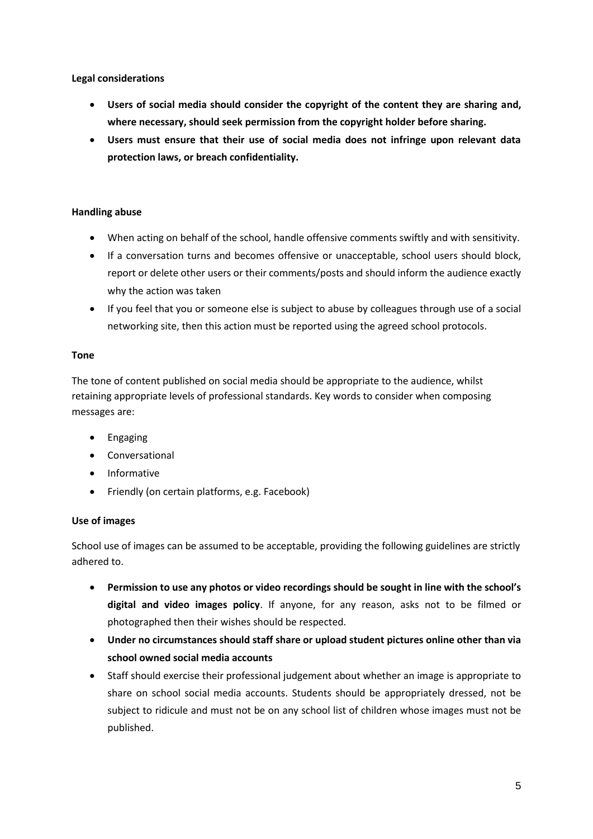**Legal considerations**

- **Users of social media should consider the copyright of the content they are sharing and, where necessary, should seek permission from the copyright holder before sharing.**
- **Users must ensure that their use of social media does not infringe upon relevant data protection laws, or breach confidentiality.**

# **Handling abuse**

- When acting on behalf of the school, handle offensive comments swiftly and with sensitivity.
- If a conversation turns and becomes offensive or unacceptable, school users should block, report or delete other users or their comments/posts and should inform the audience exactly why the action was taken
- If you feel that you or someone else is subject to abuse by colleagues through use of a social networking site, then this action must be reported using the agreed school protocols.

# **Tone**

The tone of content published on social media should be appropriate to the audience, whilst retaining appropriate levels of professional standards. Key words to consider when composing messages are:

- Engaging
- Conversational
- Informative
- Friendly (on certain platforms, e.g. Facebook)

# **Use of images**

School use of images can be assumed to be acceptable, providing the following guidelines are strictly adhered to.

- **Permission to use any photos or video recordings should be sought in line with the school's digital and video images policy**. If anyone, for any reason, asks not to be filmed or photographed then their wishes should be respected.
- **Under no circumstances should staff share or upload student pictures online other than via school owned social media accounts**
- Staff should exercise their professional judgement about whether an image is appropriate to share on school social media accounts. Students should be appropriately dressed, not be subject to ridicule and must not be on any school list of children whose images must not be published.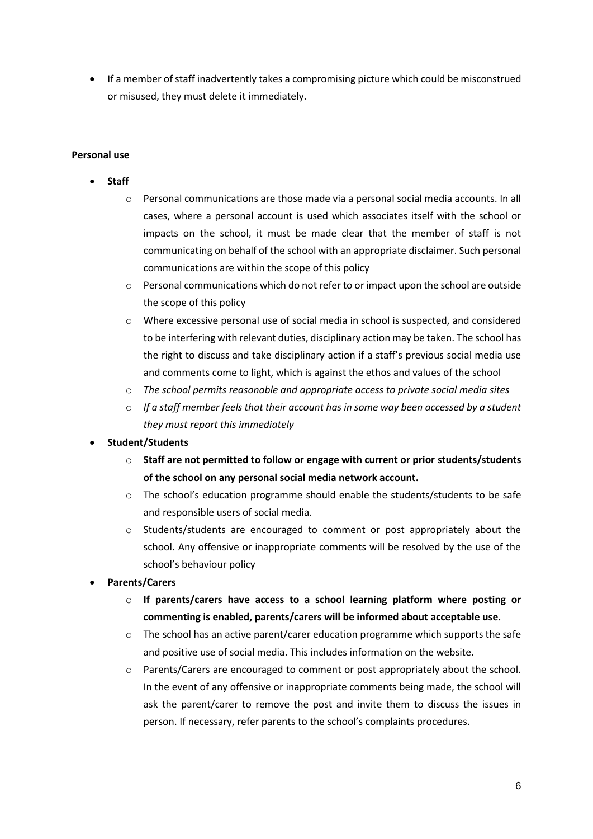If a member of staff inadvertently takes a compromising picture which could be misconstrued or misused, they must delete it immediately.

#### **Personal use**

- **Staff**
	- o Personal communications are those made via a personal social media accounts. In all cases, where a personal account is used which associates itself with the school or impacts on the school, it must be made clear that the member of staff is not communicating on behalf of the school with an appropriate disclaimer. Such personal communications are within the scope of this policy
	- o Personal communications which do not refer to or impact upon the school are outside the scope of this policy
	- o Where excessive personal use of social media in school is suspected, and considered to be interfering with relevant duties, disciplinary action may be taken. The school has the right to discuss and take disciplinary action if a staff's previous social media use and comments come to light, which is against the ethos and values of the school
	- o *The school permits reasonable and appropriate access to private social media sites*
	- o *If a staff member feels that their account has in some way been accessed by a student they must report this immediately*

# **Student/Students**

- o **Staff are not permitted to follow or engage with current or prior students/students of the school on any personal social media network account.**
- o The school's education programme should enable the students/students to be safe and responsible users of social media.
- o Students/students are encouraged to comment or post appropriately about the school. Any offensive or inappropriate comments will be resolved by the use of the school's behaviour policy
- **Parents/Carers**
	- o **If parents/carers have access to a school learning platform where posting or commenting is enabled, parents/carers will be informed about acceptable use.**
	- $\circ$  The school has an active parent/carer education programme which supports the safe and positive use of social media. This includes information on the website.
	- o Parents/Carers are encouraged to comment or post appropriately about the school. In the event of any offensive or inappropriate comments being made, the school will ask the parent/carer to remove the post and invite them to discuss the issues in person. If necessary, refer parents to the school's complaints procedures.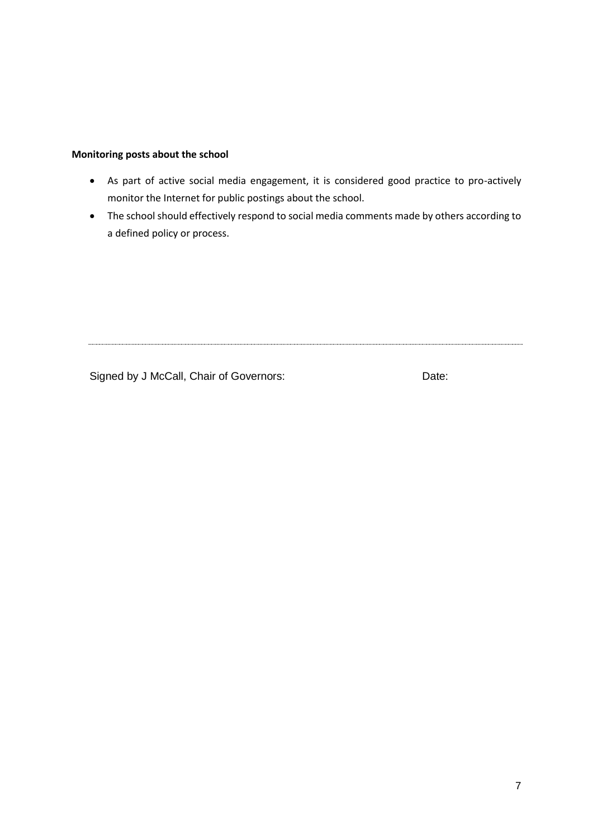### **Monitoring posts about the school**

- As part of active social media engagement, it is considered good practice to pro-actively monitor the Internet for public postings about the school.
- The school should effectively respond to social media comments made by others according to a defined policy or process.

Signed by J McCall, Chair of Governors: Date: Date: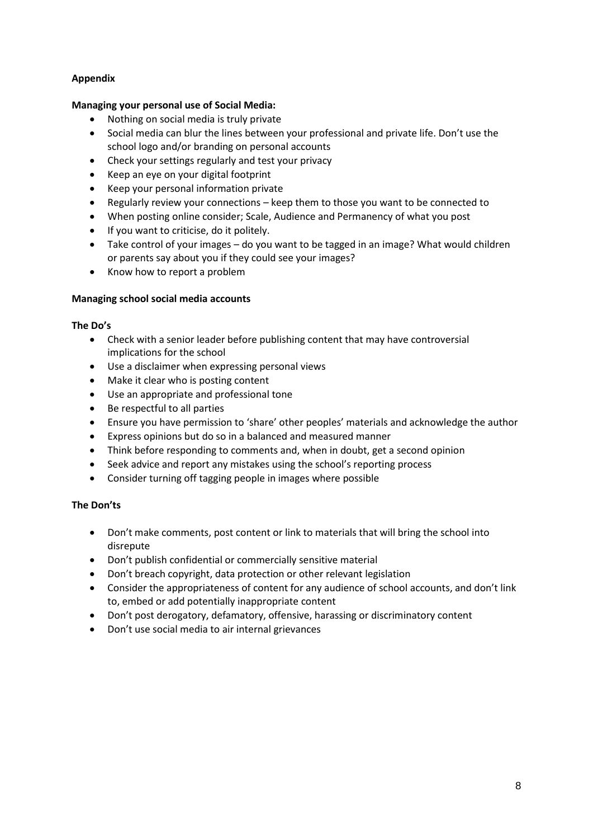# **Appendix**

# **Managing your personal use of Social Media:**

- Nothing on social media is truly private
- Social media can blur the lines between your professional and private life. Don't use the school logo and/or branding on personal accounts
- Check your settings regularly and test your privacy
- Keep an eye on your digital footprint
- Keep your personal information private
- Regularly review your connections keep them to those you want to be connected to
- When posting online consider; Scale, Audience and Permanency of what you post
- If you want to criticise, do it politely.
- Take control of your images do you want to be tagged in an image? What would children or parents say about you if they could see your images?
- Know how to report a problem

# **Managing school social media accounts**

# **The Do's**

- Check with a senior leader before publishing content that may have controversial implications for the school
- Use a disclaimer when expressing personal views
- Make it clear who is posting content
- Use an appropriate and professional tone
- Be respectful to all parties
- Ensure you have permission to 'share' other peoples' materials and acknowledge the author
- Express opinions but do so in a balanced and measured manner
- Think before responding to comments and, when in doubt, get a second opinion
- Seek advice and report any mistakes using the school's reporting process
- Consider turning off tagging people in images where possible

# **The Don'ts**

- Don't make comments, post content or link to materials that will bring the school into disrepute
- Don't publish confidential or commercially sensitive material
- Don't breach copyright, data protection or other relevant legislation
- Consider the appropriateness of content for any audience of school accounts, and don't link to, embed or add potentially inappropriate content
- Don't post derogatory, defamatory, offensive, harassing or discriminatory content
- Don't use social media to air internal grievances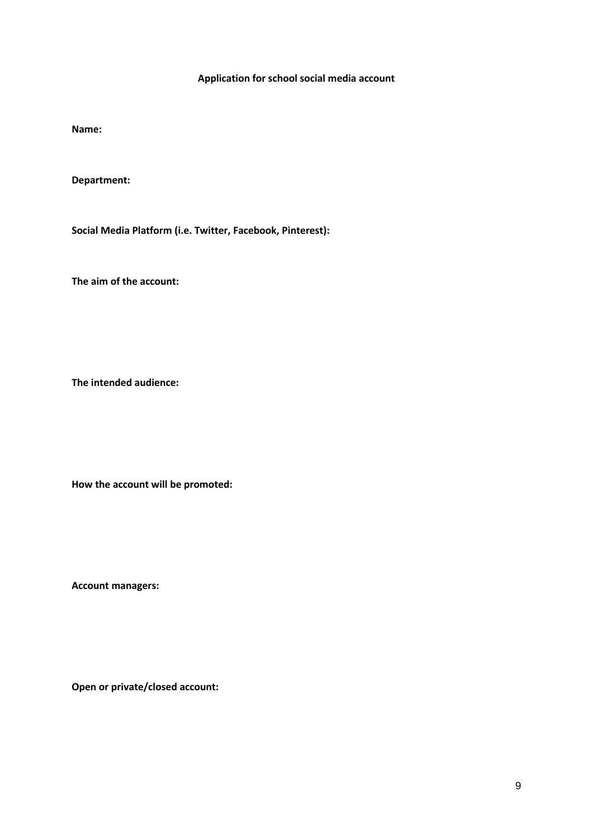# **Application for school social media account**

**Name:**

**Department:**

**Social Media Platform (i.e. Twitter, Facebook, Pinterest):**

**The aim of the account:**

**The intended audience:**

**How the account will be promoted:**

**Account managers:**

**Open or private/closed account:**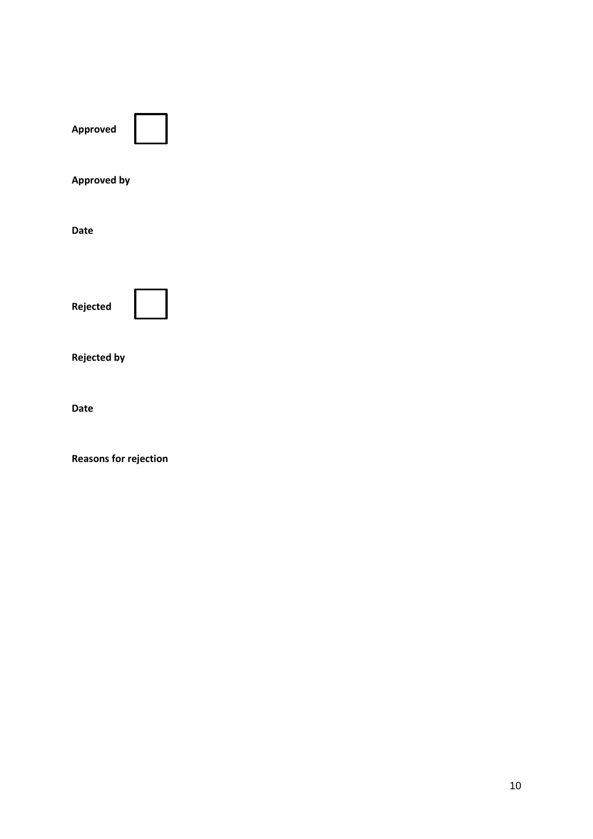**Approved** 



**Approved by**

**Date**



**Rejected by** 

**Date**

**Reasons for rejection**